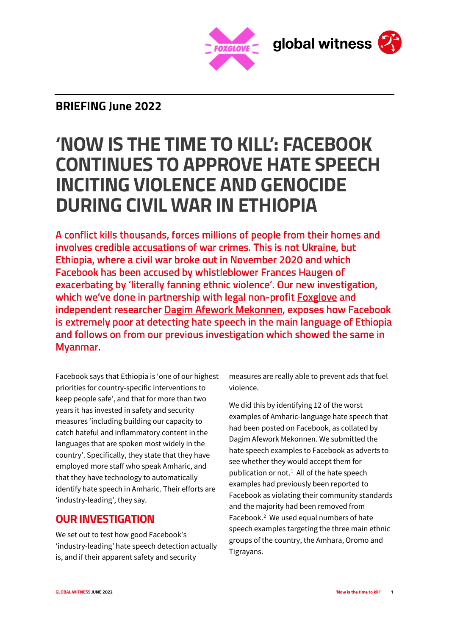

# **BRIEFING June 2022**

# **'NOW IS THE TIME TO KILL': FACEBOOK CONTINUES TO APPROVE HATE SPEECH INCITING VIOLENCE AND GENOCIDE DURING CIVIL WAR IN ETHIOPIA**

A conflict kills thousands, forces millions of people from their homes and involves credible accusations of war crimes. This is not Ukraine, but Ethiopia, where a civil war broke out in November 2020 and which Facebook has been accused by whistleblower Frances Haugen of exacerbating by 'literally fanning ethnic violence'. Our new investigation, which we've done in partnership with legal non-profit [Foxglove](https://www.foxglove.org.uk/) and independent researcher [Dagim Afework Mekonnen,](https://www.linkedin.com/in/dagim-afework-mekonnen-b7bab850/) exposes how Facebook is extremely poor at detecting hate speech in the main language of Ethiopia and follows on from our previous investigation which showed the same in Myanmar.

Facebook says that Ethiopia is 'one of our highest priorities for country-specific interventions to keep people safe', and that for more than two years it has invested in safety and security measures 'including building our capacity to catch hateful and inflammatory content in the languages that are spoken most widely in the country'. Specifically, they state that they have employed more staff who speak Amharic, and that they have technology to automatically identify hate speech in Amharic. Their efforts are 'industry-leading', they say.

### **OUR INVESTIGATION**

We set out to test how good Facebook's 'industry-leading' hate speech detection actually is, and if their apparent safety and security

measures are really able to prevent ads that fuel violence.

We did this by identifying 12 of the worst examples of Amharic-language hate speech that had been posted on Facebook, as collated by Dagim Afework Mekonnen. We submitted the hate speech examples to Facebook as adverts to see whether they would accept them for publication or not. $<sup>1</sup>$  $<sup>1</sup>$  $<sup>1</sup>$  All of the hate speech</sup> examples had previously been reported to Facebook as violating their community standards and the majority had been removed from Facebook.<sup>2</sup> We used equal numbers of hate speech examples targeting the three main ethnic groups of the country, the Amhara, Oromo and Tigrayans.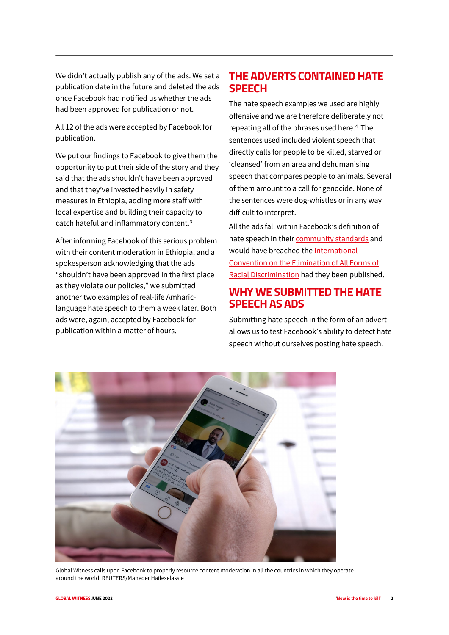We didn't actually publish any of the ads. We set a publication date in the future and deleted the ads once Facebook had notified us whether the ads had been approved for publication or not.

All 12 of the ads were accepted by Facebook for publication.

We put our findings to Facebook to give them the opportunity to put their side of the story and they said that the ads shouldn't have been approved and that they've invested heavily in safety measures in Ethiopia, adding more staff with local expertise and building their capacity to catch hateful and inflammatory content.[3](#page-3-2)

After informing Facebook of this serious problem with their content moderation in Ethiopia, and a spokesperson acknowledging that the ads "shouldn't have been approved in the first place as they violate our policies," we submitted another two examples of real-life Amhariclanguage hate speech to them a week later. Both ads were, again, accepted by Facebook for publication within a matter of hours.

## **THE ADVERTS CONTAINED HATE SPEECH**

The hate speech examples we used are highly offensive and we are therefore deliberately not repeating all of the phrases used here.<sup>[4](#page-3-3)</sup> The sentences used included violent speech that directly calls for people to be killed, starved or 'cleansed' from an area and dehumanising speech that compares people to animals. Several of them amount to a call for genocide. None of the sentences were dog-whistles or in any way difficult to interpret.

All the ads fall within Facebook's definition of hate speech in their [community standards](https://transparency.fb.com/policies/community-standards/hate-speech/) and would have breached the International [Convention on the Elimination of All Forms of](https://www.ohchr.org/en/instruments-mechanisms/instruments/international-convention-elimination-all-forms-racial)  [Racial Discrimination](https://www.ohchr.org/en/instruments-mechanisms/instruments/international-convention-elimination-all-forms-racial) had they been published.

#### **WHY WE SUBMITTED THE HATE SPEECH AS ADS**

Submitting hate speech in the form of an advert allows us to test Facebook's ability to detect hate speech without ourselves posting hate speech.



Global Witness calls upon Facebook to properly resource content moderation in all the countries in which they operate around the world. REUTERS/Maheder Haileselassie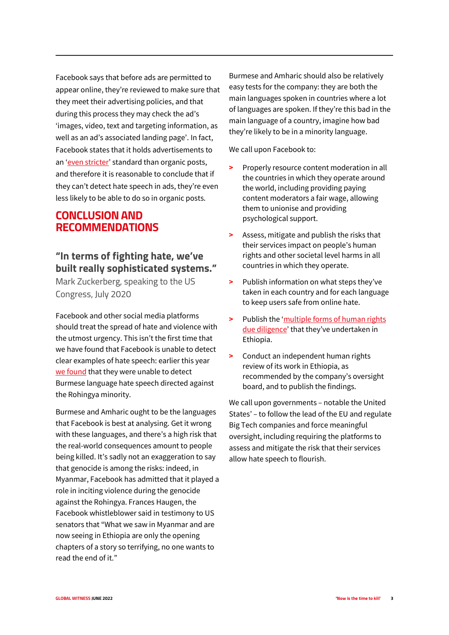Facebook says that before ads are permitted to appear online, they're reviewed to make sure that they meet their advertising policies, and that during this process they may check the ad's 'images, video, text and targeting information, as well as an ad's associated landing page'. In fact, Facebook states that it holds advertisements to an ['even stricter'](https://www.facebook.com/business/help/714656935225188?id=802745156580214) standard than organic posts, and therefore it is reasonable to conclude that if they can't detect hate speech in ads, they're even less likely to be able to do so in organic posts.

## **CONCLUSION AND RECOMMENDATIONS**

# **"In terms of fighting hate, we've built really sophisticated systems."**

Mark Zuckerberg, speaking to the US Congress, July 2020

Facebook and other social media platforms should treat the spread of hate and violence with the utmost urgency. This isn't the first time that we have found that Facebook is unable to detect clear examples of hate speech: earlier this year [we found](https://www.globalwitness.org/en/campaigns/digital-threats/rohingya-facebook-hate-speech/) that they were unable to detect Burmese language hate speech directed against the Rohingya minority.

Burmese and Amharic ought to be the languages that Facebook is best at analysing. Get it wrong with these languages, and there's a high risk that the real-world consequences amount to people being killed. It's sadly not an exaggeration to say that genocide is among the risks: indeed, in Myanmar, Facebook has admitted that it played a role in inciting violence during the genocide against the Rohingya. Frances Haugen, the Facebook whistleblower said in testimony to US senators that "What we saw in Myanmar and are now seeing in Ethiopia are only the opening chapters of a story so terrifying, no one wants to read the end of it."

Burmese and Amharic should also be relatively easy tests for the company: they are both the main languages spoken in countries where a lot of languages are spoken. If they're this bad in the main language of a country, imagine how bad they're likely to be in a minority language.

We call upon Facebook to:

- **>** Properly resource content moderation in all the countries in which they operate around the world, including providing paying content moderators a fair wage, allowing them to unionise and providing psychological support.
- **>** Assess, mitigate and publish the risks that their services impact on people's human rights and other societal level harms in all countries in which they operate.
- **>** Publish information on what steps they've taken in each country and for each language to keep users safe from online hate.
- **>** Publish the ['multiple forms of human rights](https://transparency.fb.com/en-gb/oversight/oversight-board-cases/raya-kobo-ethiopia/)  [due diligence'](https://transparency.fb.com/en-gb/oversight/oversight-board-cases/raya-kobo-ethiopia/) that they've undertaken in Ethiopia.
- **>** Conduct an independent human rights review of its work in Ethiopia, as recommended by the company's oversight board, and to publish the findings.

We call upon governments – notable the United States' – to follow the lead of the EU and regulate Big Tech companies and force meaningful oversight, including requiring the platforms to assess and mitigate the risk that their services allow hate speech to flourish.